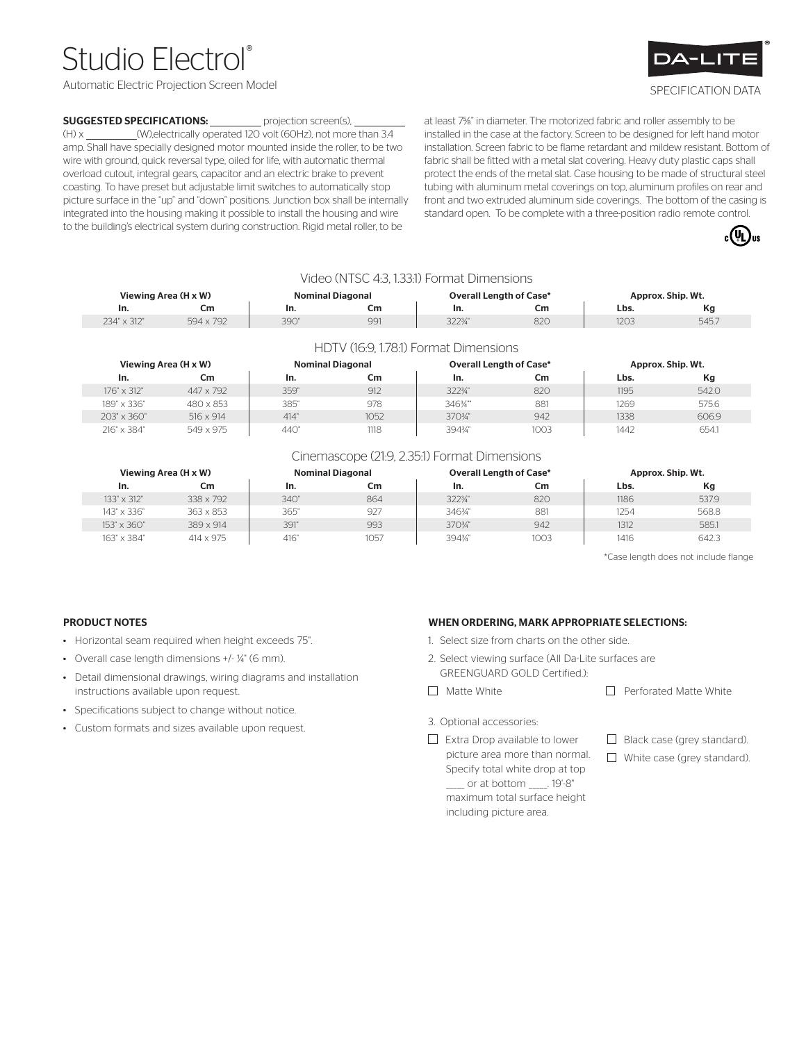# Studio Electrol

Automatic Electric Projection Screen Model



## SPECIFICATION DATA

### **SUGGESTED SPECIFICATIONS:** projection screen(s),

(H) x \_\_\_\_\_\_\_\_\_(W),electrically operated 120 volt (60Hz), not more than 3.4 amp. Shall have specially designed motor mounted inside the roller, to be two wire with ground, quick reversal type, oiled for life, with automatic thermal overload cutout, integral gears, capacitor and an electric brake to prevent coasting. To have preset but adjustable limit switches to automatically stop picture surface in the "up" and "down" positions. Junction box shall be internally integrated into the housing making it possible to install the housing and wire to the building's electrical system during construction. Rigid metal roller, to be

at least 75⁄8" in diameter. The motorized fabric and roller assembly to be installed in the case at the factory. Screen to be designed for left hand motor installation. Screen fabric to be flame retardant and mildew resistant. Bottom of fabric shall be fitted with a metal slat covering. Heavy duty plastic caps shall protect the ends of the metal slat. Case housing to be made of structural steel tubing with aluminum metal coverings on top, aluminum profiles on rear and front and two extruded aluminum side coverings. The bottom of the casing is standard open. To be complete with a three-position radio remote control.



|             |                      |                         | Video (NTSC 4:3, 1.33:1) Format Dimensions |                                |     |      |                   |
|-------------|----------------------|-------------------------|--------------------------------------------|--------------------------------|-----|------|-------------------|
|             | Viewing Area (H x W) | <b>Nominal Diagonal</b> |                                            | <b>Overall Length of Case*</b> |     |      | Approx. Ship. Wt. |
| In.         | Cm                   | In.                     | Cm.                                        | In.                            | Cm  | Lbs. | Кg                |
| 234" x 312" | 594 x 792            | 390"                    | 991                                        | 3223/4"                        | 820 | 1203 | 545.7             |

| Viewing Area (H x W) |                  | <b>Nominal Diagonal</b> |      | <b>Overall Length of Case*</b> |      | Approx. Ship. Wt. |       |
|----------------------|------------------|-------------------------|------|--------------------------------|------|-------------------|-------|
| In.                  | Сm               | In.                     | Cm   | In.                            | Cm   | Lbs.              | Кg    |
| 176" x 312"          | 447 x 792        | 359"                    | 912  | 3223/4"                        | 820  | 1195              | 542.0 |
| 189" x 336"          | 480 x 853        | 385"                    | 978  | 346¾"                          | 881  | 1269              | 575.6 |
| 203" x 360"          | $516 \times 914$ | 414"                    | 1052 | 3703/4"                        | 942  | 1338              | 606.9 |
| 216" x 384"          | 549 x 975        | 440"                    | 1118 | 394%"                          | 1003 | 1442              | 654.1 |

#### Cinemascope (21:9, 2.35:1) Format Dimensions

|                    | Viewing Area (H x W) |      | <b>Nominal Diagonal</b> |         | <b>Overall Length of Case*</b> |      | Approx. Ship. Wt. |
|--------------------|----------------------|------|-------------------------|---------|--------------------------------|------|-------------------|
| In.                | Сm                   | In.  | Cm                      | In.     | Cm                             | Lbs. | Кg                |
| 133" x 312"        | 338 x 792            | 340" | 864                     | 3223/4" | 820                            | 1186 | 537.9             |
| 143" x 336"        | 363 x 853            | 365" | 927                     | 346%    | 881                            | 1254 | 568.8             |
| $153" \times 360"$ | 389 x 914            | 391" | 993                     | 370%"   | 942                            | 1312 | 585.1             |
| 163" x 384"        | $414 \times 975$     | 416" | 1057                    | 394%"   | 1003                           | 1416 | 642.3             |

\*Case length does not include flange

### PRODUCT NOTES

- Horizontal seam required when height exceeds 75".
- Overall case length dimensions +/- ¼" (6 mm).
- Detail dimensional drawings, wiring diagrams and installation instructions available upon request.
- Specifications subject to change without notice.
- Custom formats and sizes available upon request.

#### WHEN ORDERING, MARK APPROPRIATE SELECTIONS:

- 1. Select size from charts on the other side.
- 2. Select viewing surface (All Da-Lite surfaces are GREENGUARD GOLD Certified.):
- $\Box$  Matte White  $\Box$  Perforated Matte White
	-
- 3. Optional accessories:
- $\Box$  Extra Drop available to lower picture area more than normal. Specify total white drop at top \_\_\_\_\_ or at bottom \_\_\_\_\_. 19'-8" maximum total surface height including picture area.
- $\Box$  Black case (grey standard).
- $\Box$  White case (grey standard).